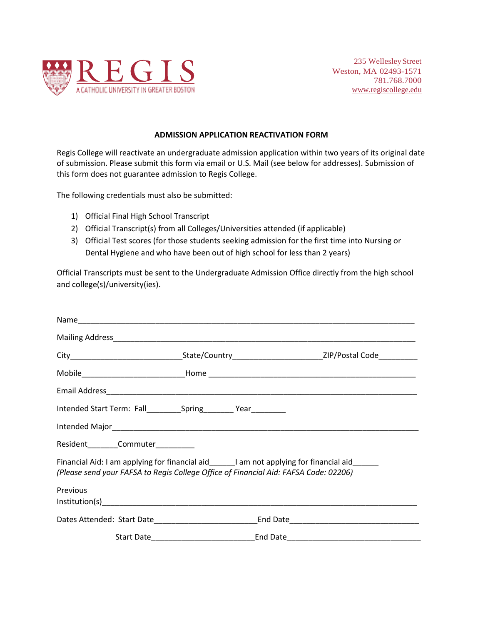

## **ADMISSION APPLICATION REACTIVATION FORM**

Regis College will reactivate an undergraduate admission application within two years of its original date of submission. Please submit this form via email or U.S. Mail (see below for addresses). Submission of this form does not guarantee admission to Regis College.

The following credentials must also be submitted:

- 1) Official Final High School Transcript
- 2) Official Transcript(s) from all Colleges/Universities attended (if applicable)
- 3) Official Test scores (for those students seeking admission for the first time into Nursing or Dental Hygiene and who have been out of high school for less than 2 years)

Official Transcripts must be sent to the Undergraduate Admission Office directly from the high school and college(s)/university(ies).

| Intended Start Term: Fall___________Spring__________ Year__________                  |                                                                                                     |  |
|--------------------------------------------------------------------------------------|-----------------------------------------------------------------------------------------------------|--|
|                                                                                      |                                                                                                     |  |
| Resident________Commuter__________                                                   |                                                                                                     |  |
| (Please send your FAFSA to Regis College Office of Financial Aid: FAFSA Code: 02206) | Financial Aid: I am applying for financial aid______I am not applying for financial aid______       |  |
| Previous                                                                             |                                                                                                     |  |
|                                                                                      | Dates Attended: Start Date______________________________End Date___________________________________ |  |
|                                                                                      |                                                                                                     |  |